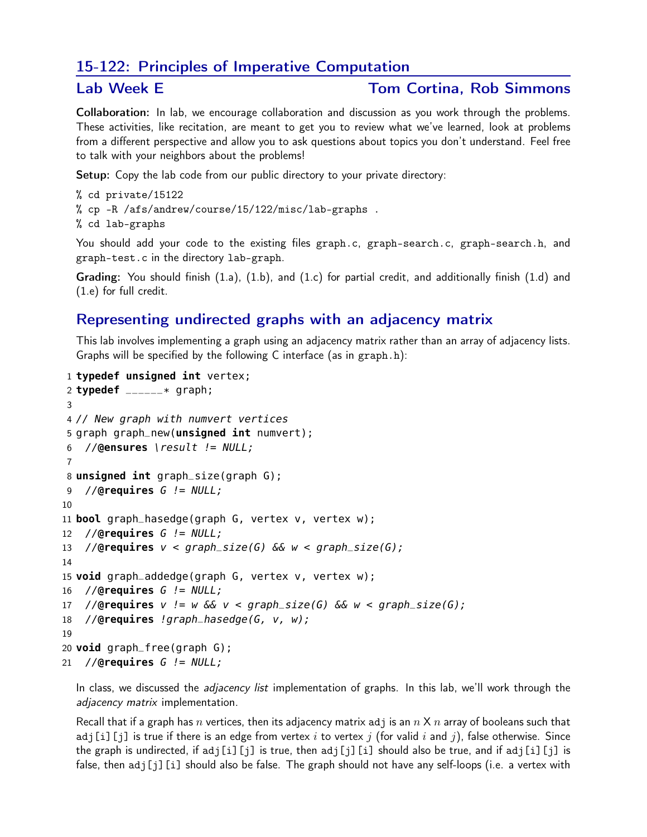## 15-122: Principles of Imperative Computation

## Lab Week E Tom Cortina, Rob Simmons

Collaboration: In lab, we encourage collaboration and discussion as you work through the problems. These activities, like recitation, are meant to get you to review what we've learned, look at problems from a different perspective and allow you to ask questions about topics you don't understand. Feel free to talk with your neighbors about the problems!

Setup: Copy the lab code from our public directory to your private directory:

```
% cd private/15122
% cp -R /afs/andrew/course/15/122/misc/lab-graphs .
% cd lab-graphs
```
You should add your code to the existing files graph.c, graph-search.c, graph-search.h, and graph-test.c in the directory lab-graph.

Grading: You should finish (1.a), (1.b), and (1.c) for partial credit, and additionally finish (1.d) and (1.e) for full credit.

## Representing undirected graphs with an adjacency matrix

This lab involves implementing a graph using an adjacency matrix rather than an array of adjacency lists. Graphs will be specified by the following C interface (as in graph.h):

```
1 typedef unsigned int vertex;
2 typedef ______* graph;
3
4 // New graph with numvert vertices
5 graph graph_new(unsigned int numvert);
6 //@ensures \result != NULL;
7
8 unsigned int graph_size(graph G);
9 //@requires G != NULL;
10
11 bool graph_hasedge(graph G, vertex v, vertex w);
12 //@requires G != NULL;
13 //@requires v < graph_size(G) && w < graph_size(G);
14
15 void graph_addedge(graph G, vertex v, vertex w);
16 //@requires G != NULL;
17 //@requires v := w \& x & < graph\_size(G) \& w & < graph\_size(G);18 //@requires !graph_hasedge(G, v, w);
19
20 void graph_free(graph G);
21 //@requires G != NULL;
```
In class, we discussed the *adjacency list* implementation of graphs. In this lab, we'll work through the adjacency matrix implementation.

Recall that if a graph has n vertices, then its adjacency matrix adj is an  $n \times n$  array of booleans such that adj[i][j] is true if there is an edge from vertex i to vertex j (for valid i and j), false otherwise. Since the graph is undirected, if adj[i][j] is true, then adj[j][i] should also be true, and if adj[i][j] is false, then adj[j][i] should also be false. The graph should not have any self-loops (i.e. a vertex with